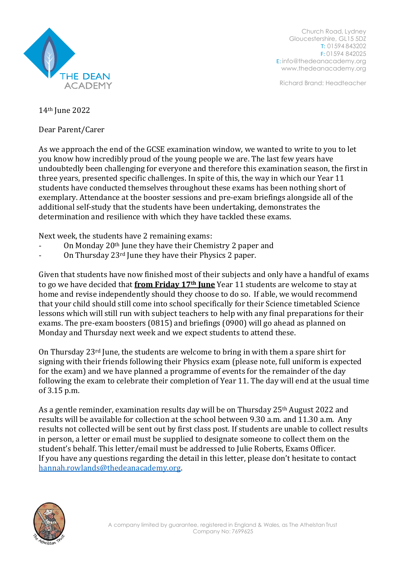

Church Road, Lydney Gloucestershire, GL15 5DZ T: 01594 843202 F: 01594 842025 E: [info@thedeanacademy.org](mailto:info@thedeanacademy.org) [www.thedeanacademy.org](http://www.thedeanacademy.org/)

Richard Brand: Headteacher

14th June 2022

Dear Parent/Carer

As we approach the end of the GCSE examination window, we wanted to write to you to let you know how incredibly proud of the young people we are. The last few years have undoubtedly been challenging for everyone and therefore this examination season, the first in three years, presented specific challenges. In spite of this, the way in which our Year 11 students have conducted themselves throughout these exams has been nothing short of exemplary. Attendance at the booster sessions and pre-exam briefings alongside all of the additional self-study that the students have been undertaking, demonstrates the determination and resilience with which they have tackled these exams.

Next week, the students have 2 remaining exams:

- On Monday 20<sup>th</sup> June they have their Chemistry 2 paper and
- On Thursday 23<sup>rd</sup> June they have their Physics 2 paper.

Given that students have now finished most of their subjects and only have a handful of exams to go we have decided that **from Friday 17th June** Year 11 students are welcome to stay at home and revise independently should they choose to do so. If able, we would recommend that your child should still come into school specifically for their Science timetabled Science lessons which will still run with subject teachers to help with any final preparations for their exams. The pre-exam boosters (0815) and briefings (0900) will go ahead as planned on Monday and Thursday next week and we expect students to attend these.

On Thursday 23rd June, the students are welcome to bring in with them a spare shirt for signing with their friends following their Physics exam (please note, full uniform is expected for the exam) and we have planned a programme of events for the remainder of the day following the exam to celebrate their completion of Year 11. The day will end at the usual time of 3.15 p.m.

As a gentle reminder, examination results day will be on Thursday 25th August 2022 and results will be available for collection at the school between 9.30 a.m. and 11.30 a.m. Any results not collected will be sent out by first class post. If students are unable to collect results in person, a letter or email must be supplied to designate someone to collect them on the student's behalf. This letter/email must be addressed to Julie Roberts, Exams Officer. If you have any questions regarding the detail in this letter, please don't hesitate to contact [hannah.rowlands@thedeanacademy.org.](mailto:hannah.rowlands@thedeanacademy.org)